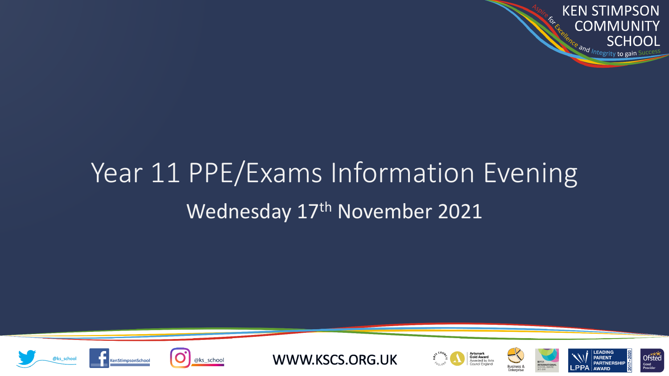**KEN STIMPSON C. FORE COMMUNITY SCHOOL** Ce and Integrity to gain

# Wednesday 17<sup>th</sup> November 2021 Year 11 PPE/Exams Information Evening









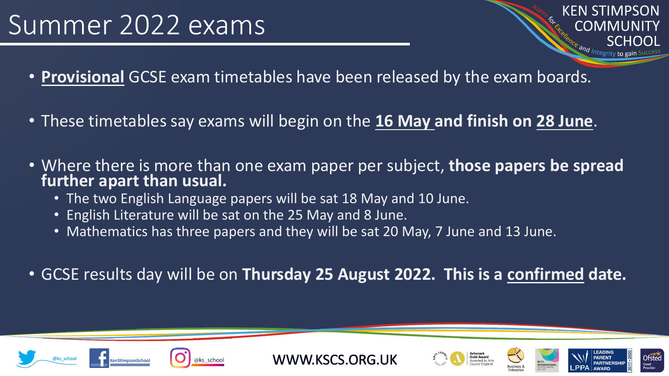## Summer 2022 exams

**KEN STIMPSON** COMMI

Ofstec

- **Provisional** GCSE exam timetables have been released by the exam boards.
- These timetables say exams will begin on the **16 May and finish on 28 June**.
- Where there is more than one exam paper per subject, **those papers be spread further apart than usual.**
	- The two English Language papers will be sat 18 May and 10 June.
	- English Literature will be sat on the 25 May and 8 June.
	- Mathematics has three papers and they will be sat 20 May, 7 June and 13 June.
- GCSE results day will be on **Thursday 25 August 2022. This is a confirmed date.**





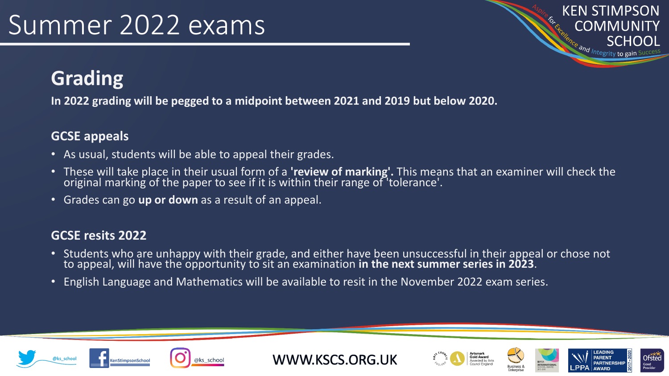## Summer 2022 exams

**KEN STIMPSON COMMUNITY** SCHOOL Ce and Integrity to gain

#### **Grading**

**In 2022 grading will be pegged to a midpoint between 2021 and 2019 but below 2020.**

#### **GCSE appeals**

- As usual, students will be able to appeal their grades.
- These will take place in their usual form of a **'review of marking'.** This means that an examiner will check the original marking of the paper to see if it is within their range of 'tolerance'.
- Grades can go **up or down** as a result of an appeal.

#### **GCSE resits 2022**

- Students who are unhappy with their grade, and either have been unsuccessful in their appeal or chose not to appeal, will have the opportunity to sit an examination in the next summer series in 2023.
- English Language and Mathematics will be available to resit in the November 2022 exam series.











**Ofsted**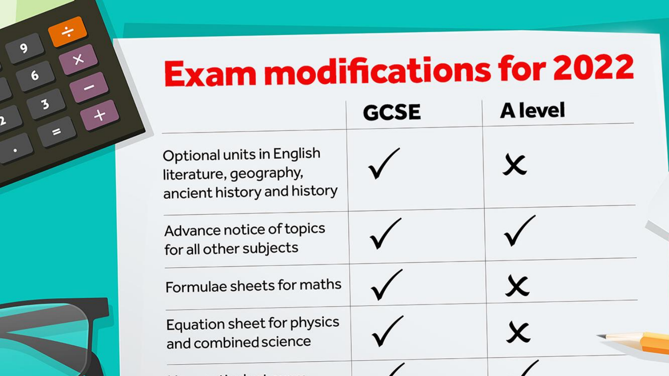# **Exam modifications for 2022**

Summer 2022 example 2022

 $\star$ 

 $\star$ 

 $6\phantom{a}$ 

る

|                                                                                    | <b>GCSE</b> | <b>A</b> level |  |
|------------------------------------------------------------------------------------|-------------|----------------|--|
| Optional units in English<br>literature, geography,<br>ancient history and history |             | X              |  |
| Advance notice of topics<br>for all other subjects                                 |             |                |  |
| Formulae sheets for maths                                                          |             | X              |  |
| Equation sheet for physics<br>and combined science                                 |             |                |  |
|                                                                                    |             |                |  |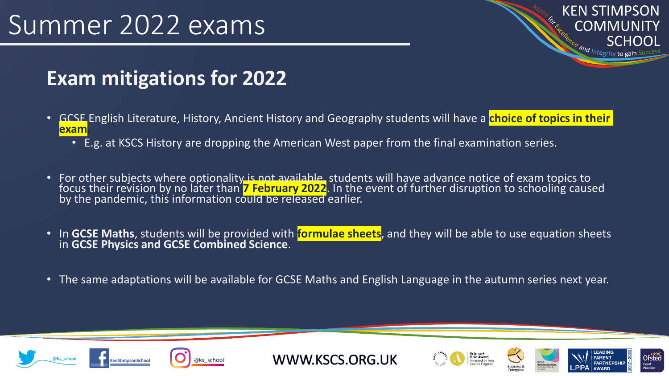## Summer 2022 exams

**KEN STIMPSON COMMUNITY SCHOOL** <sup>Ce</sup> and Integrity to gain S

#### **Exam mitigations for 2022**

- GCSE English Literature, History, Ancient History and Geography students will have a **choice of topics in their exam.**
	- E.g. at KSCS History are dropping the American West paper from the final examination series.
- For other subjects where optionality is not available, students will have advance notice of exam topics to focus their revision by no later than **7 February 2022**. In the event of further disruption to schooling caused by the pandemic, this information could be released earlier.
- In **GCSE Maths**, students will be provided with **formulae sheets**, and they will be able to use equation sheets in **GCSE Physics and GCSE Combined Science**.
- The same adaptations will be available for GCSE Maths and English Language in the autumn series next year.









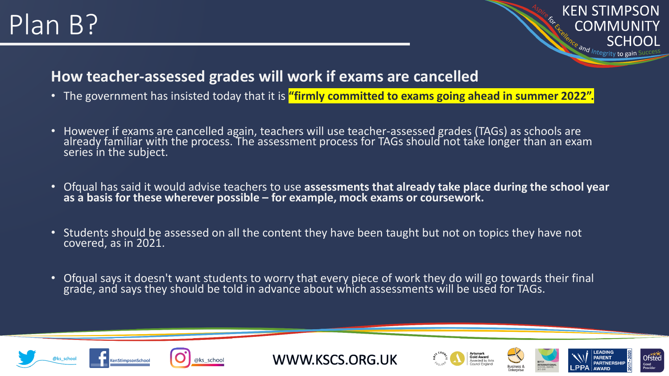## Plan B?

#### **KEN STIMPSON COMMUNITY SCHOOL**  $\frac{32}{\frac{1}{2} \cdot \frac{1}{2} \cdot \frac{1}{2}}$

#### **How teacher-assessed grades will work if exams are cancelled**

- The government has insisted today that it is **"firmly committed to exams going ahead in summer 2022".**
- However if exams are cancelled again, teachers will use teacher-assessed grades (TAGs) as schools are already familiar with the process. The assessment process for TAGs should not take longer than an exam series in the subject.
- Ofqual has said it would advise teachers to use **assessments that already take place during the school year as a basis for these wherever possible – for example, mock exams or coursework.**
- Students should be assessed on all the content they have been taught but not on topics they have not covered, as in 2021.
- Ofqual says it doesn't want students to worry that every piece of work they do will go towards their final grade, and says they should be told in advance about which assessments will be used for TAGs.